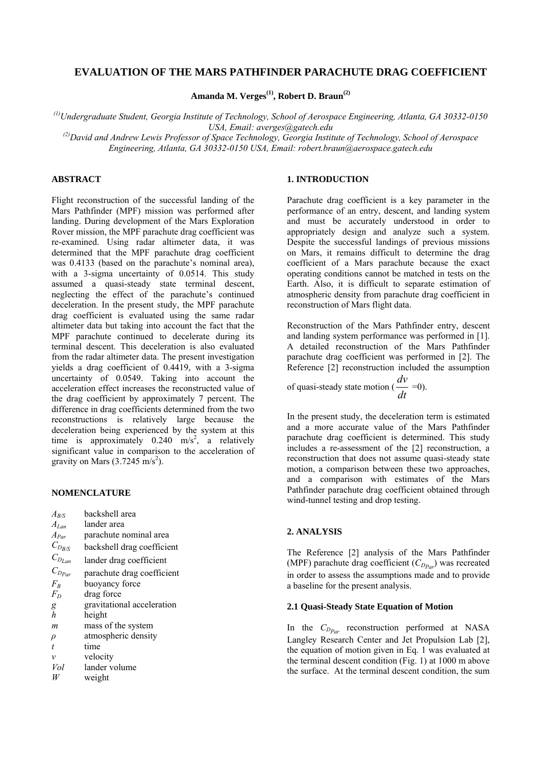# **EVALUATION OF THE MARS PATHFINDER PARACHUTE DRAG COEFFICIENT**

**Amanda M. Verges(1), Robert D. Braun(2)**

*(1)Undergraduate Student, Georgia Institute of Technology, School of Aerospace Engineering, Atlanta, GA 30332-0150 USA, Email: averges@gatech.edu* 

<sup>(2)</sup>David and Andrew Lewis Professor of Space Technology, Georgia Institute of Technology, School of Aerospace *Engineering, Atlanta, GA 30332-0150 USA, Email: robert.braun@aerospace.gatech.edu* 

## **ABSTRACT**

Flight reconstruction of the successful landing of the Mars Pathfinder (MPF) mission was performed after landing. During development of the Mars Exploration Rover mission, the MPF parachute drag coefficient was re-examined. Using radar altimeter data, it was determined that the MPF parachute drag coefficient was 0.4133 (based on the parachute's nominal area), with a 3-sigma uncertainty of 0.0514. This study assumed a quasi-steady state terminal descent, neglecting the effect of the parachute's continued deceleration. In the present study, the MPF parachute drag coefficient is evaluated using the same radar altimeter data but taking into account the fact that the MPF parachute continued to decelerate during its terminal descent. This deceleration is also evaluated from the radar altimeter data. The present investigation yields a drag coefficient of 0.4419, with a 3-sigma uncertainty of 0.0549. Taking into account the acceleration effect increases the reconstructed value of the drag coefficient by approximately 7 percent. The difference in drag coefficients determined from the two reconstructions is relatively large because the deceleration being experienced by the system at this time is approximately  $0.240 \text{ m/s}^2$ , a relatively significant value in comparison to the acceleration of gravity on Mars  $(3.7245 \text{ m/s}^2)$ .

#### **NOMENCLATURE**

| $A_{\rm\scriptscriptstyle RS}$ | backshell area             |
|--------------------------------|----------------------------|
| $A_{Lan}$                      | lander area                |
| $A_{Par}$                      | parachute nominal area     |
| $C_{D_{B/S}}$                  | backshell drag coefficient |
| $C_{D_{Lan}}$                  | lander drag coefficient    |
| $C_{D_{Par}}$                  | parachute drag coefficient |
| $F_R$                          | buoyancy force             |
| $F_D$                          | drag force                 |
| g                              | gravitational acceleration |
| $\boldsymbol{h}$               | height                     |
| m                              | mass of the system         |
| $\rho$                         | atmospheric density        |
| $\boldsymbol{t}$               | time                       |
| $\mathcal{V}$                  | velocity                   |
| Vol                            | lander volume              |
| w                              | weight                     |

#### **1. INTRODUCTION**

Parachute drag coefficient is a key parameter in the performance of an entry, descent, and landing system and must be accurately understood in order to appropriately design and analyze such a system. Despite the successful landings of previous missions on Mars, it remains difficult to determine the drag coefficient of a Mars parachute because the exact operating conditions cannot be matched in tests on the Earth. Also, it is difficult to separate estimation of atmospheric density from parachute drag coefficient in reconstruction of Mars flight data.

Reconstruction of the Mars Pathfinder entry, descent and landing system performance was performed in [1]. A detailed reconstruction of the Mars Pathfinder parachute drag coefficient was performed in [2]. The Reference [2] reconstruction included the assumption

of quasi-steady state motion  $\left(\frac{dV}{dt}\right)$  $\frac{dv}{dx}$  =0).

In the present study, the deceleration term is estimated and a more accurate value of the Mars Pathfinder parachute drag coefficient is determined. This study includes a re-assessment of the [2] reconstruction, a reconstruction that does not assume quasi-steady state motion, a comparison between these two approaches, and a comparison with estimates of the Mars Pathfinder parachute drag coefficient obtained through wind-tunnel testing and drop testing.

### **2. ANALYSIS**

The Reference [2] analysis of the Mars Pathfinder (MPF) parachute drag coefficient  $(C_{D_{P\alpha r}})$  was recreated in order to assess the assumptions made and to provide a baseline for the present analysis.

#### **2.1 Quasi-Steady State Equation of Motion**

In the *C<sub>DPar</sub>* reconstruction performed at NASA Langley Research Center and Jet Propulsion Lab [2], the equation of motion given in Eq. 1 was evaluated at the terminal descent condition (Fig. 1) at 1000 m above the surface. At the terminal descent condition, the sum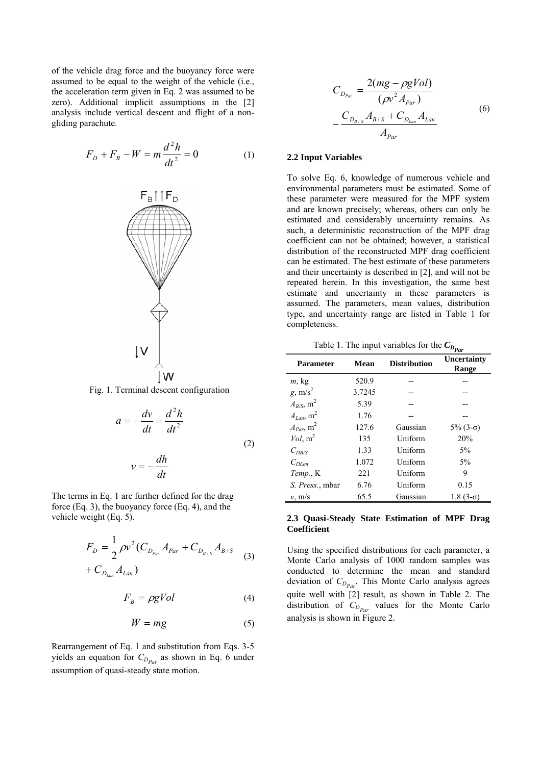of the vehicle drag force and the buoyancy force were assumed to be equal to the weight of the vehicle (i.e., the acceleration term given in Eq. 2 was assumed to be zero). Additional implicit assumptions in the [2] analysis include vertical descent and flight of a nongliding parachute.

$$
F_D + F_B - W = m \frac{d^2 h}{dt^2} = 0
$$
 (1)



Fig. 1. Terminal descent configuration

$$
a = -\frac{dv}{dt} = \frac{d^2h}{dt^2}
$$
  

$$
v = -\frac{dh}{dt}
$$
 (2)

The terms in Eq. 1 are further defined for the drag force (Eq. 3), the buoyancy force (Eq. 4), and the vehicle weight (Eq. 5).

$$
F_D = \frac{1}{2} \rho v^2 (C_{D_{Par}} A_{Par} + C_{D_{B/S}} A_{B/S} - 1)
$$
  
+  $C_{D_{Lan}} A_{Lan}$  (3)

$$
F_B = \rho g Vol \tag{4}
$$

$$
W = mg \tag{5}
$$

Rearrangement of Eq. 1 and substitution from Eqs. 3-5 yields an equation for  $C_{D_{Par}}$  as shown in Eq. 6 under assumption of quasi-steady state motion.

$$
C_{D_{Par}} = \frac{2(mg - \rho g Vol)}{(\rho v^2 A_{Par})}
$$
  
- 
$$
\frac{C_{D_{B/S}} A_{B/S} + C_{D_{Lan}} A_{Lan}}{A_{Par}}
$$
 (6)

#### **2.2 Input Variables**

To solve Eq. 6, knowledge of numerous vehicle and environmental parameters must be estimated. Some of these parameter were measured for the MPF system and are known precisely; whereas, others can only be estimated and considerably uncertainty remains. As such, a deterministic reconstruction of the MPF drag coefficient can not be obtained; however, a statistical distribution of the reconstructed MPF drag coefficient can be estimated. The best estimate of these parameters and their uncertainty is described in [2], and will not be repeated herein. In this investigation, the same best estimate and uncertainty in these parameters is assumed. The parameters, mean values, distribution type, and uncertainty range are listed in Table 1 for completeness.

Table 1. The input variables for the  $C_{D_n}$ 

| <b>Parameter</b>           | Mean   | <b>Distribution</b> | 1 u<br><b>Uncertainty</b><br>Range |
|----------------------------|--------|---------------------|------------------------------------|
| m, kg                      | 520.9  |                     |                                    |
| $g$ , m/s <sup>2</sup>     | 3.7245 |                     |                                    |
| $A_{B/S}$ , m <sup>2</sup> | 5.39   |                     |                                    |
| $A_{Lan}$ , m <sup>2</sup> | 1.76   |                     |                                    |
| $A_{Par}$ , m <sup>2</sup> | 127.6  | Gaussian            | $5\%$ (3- $\sigma$ )               |
| $Vol, m^3$                 | 135    | Uniform             | 20%                                |
| $C_{DB/S}$                 | 1.33   | Uniform             | $5\%$                              |
| $C_{DI,m}$                 | 1.072  | Uniform             | 5%                                 |
| Temp., K                   | 221    | Uniform             | 9                                  |
| <i>S. Press.</i> , mbar    | 6.76   | Uniform             | 0.15                               |
| v, m/s                     | 65.5   | Gaussian            | $1.8(3-\sigma)$                    |

### **2.3 Quasi-Steady State Estimation of MPF Drag Coefficient**

Using the specified distributions for each parameter, a Monte Carlo analysis of 1000 random samples was conducted to determine the mean and standard deviation of  $C_{D_{P,ar}}$ . This Monte Carlo analysis agrees quite well with [2] result, as shown in Table 2. The distribution of  $C_{D_{Par}}$  values for the Monte Carlo analysis is shown in Figure 2.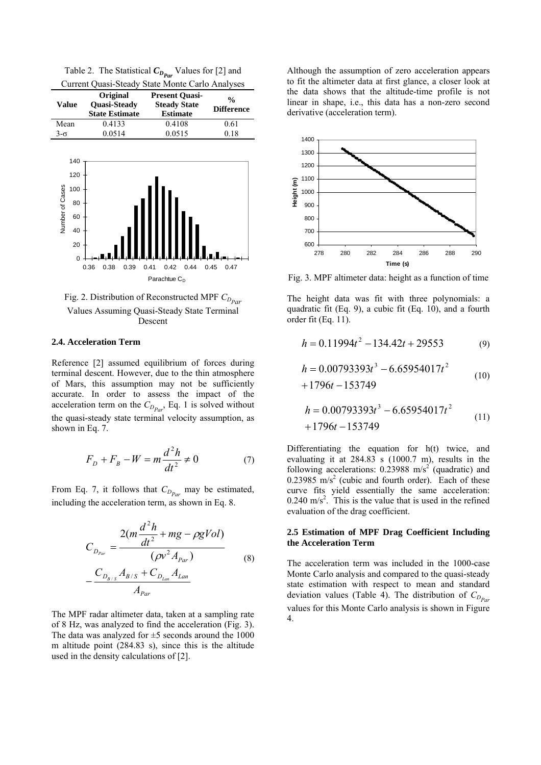| Current Quasi-Steady State Monte Carlo Analyses |                                                          |                                                                 |                                    |  |
|-------------------------------------------------|----------------------------------------------------------|-----------------------------------------------------------------|------------------------------------|--|
| Value                                           | Original<br><b>Quasi-Steady</b><br><b>State Estimate</b> | <b>Present Quasi-</b><br><b>Steady State</b><br><b>Estimate</b> | $\frac{0}{0}$<br><b>Difference</b> |  |
| Mean                                            | 0.4133                                                   | 0.4108                                                          | 0.61                               |  |
| $3 - \sigma$                                    | 0.0514                                                   | 0.0515                                                          | 0.18                               |  |

Table 2. The Statistical  $C_{D_{Par}}$  Values for [2] and





# **2.4. Acceleration Term**

Reference [2] assumed equilibrium of forces during terminal descent. However, due to the thin atmosphere of Mars, this assumption may not be sufficiently accurate. In order to assess the impact of the acceleration term on the  $C_{D_{P,ar}}$ , Eq. 1 is solved without the quasi-steady state terminal velocity assumption, as shown in Eq. 7.

$$
F_D + F_B - W = m \frac{d^2 h}{dt^2} \neq 0 \tag{7}
$$

From Eq. 7, it follows that  $C_{D_{Par}}$  may be estimated, including the acceleration term, as shown in Eq. 8.

$$
C_{D_{Par}} = \frac{2(m\frac{d^2h}{dt^2} + mg - \rho gVol)}{(\rho v^2 A_{Par})}
$$
\n
$$
-\frac{C_{D_{B/S}} A_{B/S} + C_{D_{Lan}} A_{Lan}}{A_{Par}}
$$
\n(8)

The MPF radar altimeter data, taken at a sampling rate of 8 Hz, was analyzed to find the acceleration (Fig. 3). The data was analyzed for  $\pm$ 5 seconds around the 1000 m altitude point (284.83 s), since this is the altitude used in the density calculations of [2].

Although the assumption of zero acceleration appears to fit the altimeter data at first glance, a closer look at the data shows that the altitude-time profile is not linear in shape, i.e., this data has a non-zero second derivative (acceleration term).



Fig. 3. MPF altimeter data: height as a function of time

The height data was fit with three polynomials: a quadratic fit (Eq. 9), a cubic fit (Eq. 10), and a fourth order fit (Eq. 11).

$$
h = 0.11994t^2 - 134.42t + 29553
$$
 (9)

$$
h = 0.00793393t3 - 6.65954017t2
$$
  
+ 1796t - 153749 (10)

$$
h = 0.00793393t3 - 6.65954017t2
$$
  
+ 1796t - 153749 (11)

Differentiating the equation for h(t) twice, and evaluating it at 284.83 s (1000.7 m), results in the following accelerations:  $0.23988 \text{ m/s}^2$  (quadratic) and  $0.23985$  m/s<sup>2</sup> (cubic and fourth order). Each of these curve fits yield essentially the same acceleration:  $0.240 \text{ m/s}^2$ . This is the value that is used in the refined evaluation of the drag coefficient.

#### **2.5 Estimation of MPF Drag Coefficient Including the Acceleration Term**

The acceleration term was included in the 1000-case Monte Carlo analysis and compared to the quasi-steady state estimation with respect to mean and standard deviation values (Table 4). The distribution of  $C_{D_{P\alpha r}}$ values for this Monte Carlo analysis is shown in Figure 4.